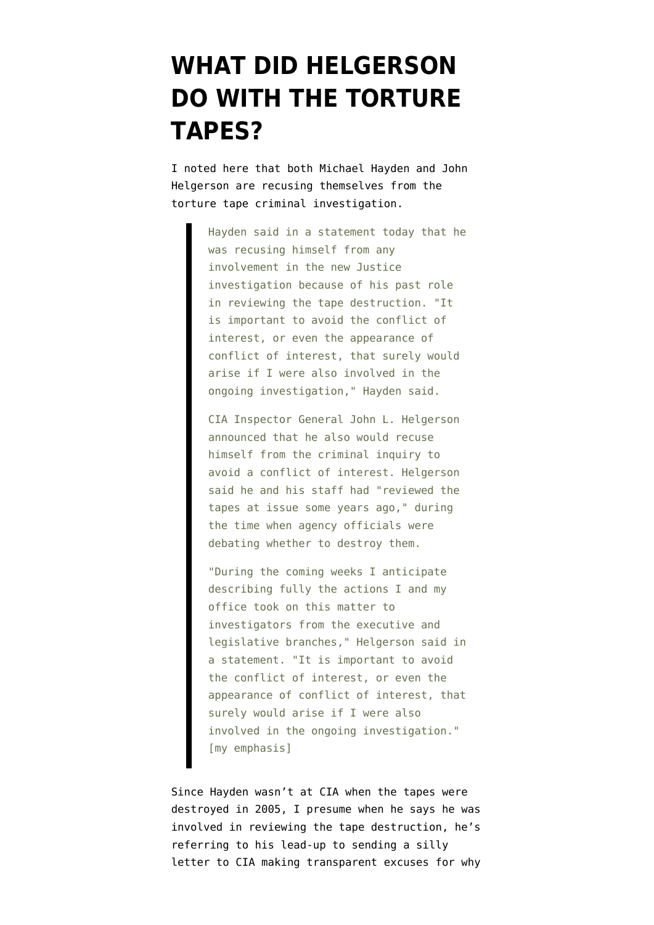## **[WHAT DID HELGERSON](https://www.emptywheel.net/2008/01/02/what-did-helgerson-do-with-the-torture-tapes/) [DO WITH THE TORTURE](https://www.emptywheel.net/2008/01/02/what-did-helgerson-do-with-the-torture-tapes/) [TAPES?](https://www.emptywheel.net/2008/01/02/what-did-helgerson-do-with-the-torture-tapes/)**

I [noted here](http://emptywheel.firedoglake.com/2008/01/02/mukaseys-statement/) that both Michael Hayden and John Helgerson [are recusing themselves](http://www.washingtonpost.com/wp-dyn/content/article/2008/01/02/AR2008010202060.html?hpid=topnews) from the torture tape criminal investigation.

> Hayden said in a statement today that he was recusing himself from any involvement in the new Justice investigation because of his past role in reviewing the tape destruction. "It is important to avoid the conflict of interest, or even the appearance of conflict of interest, that surely would arise if I were also involved in the ongoing investigation," Hayden said.

CIA Inspector General John L. Helgerson announced that he also would recuse himself from the criminal inquiry to avoid a conflict of interest. Helgerson said he and his staff had "reviewed the tapes at issue some years ago," during the time when agency officials were debating whether to destroy them.

"During the coming weeks I anticipate describing fully the actions I and my office took on this matter to investigators from the executive and legislative branches," Helgerson said in a statement. "It is important to avoid the conflict of interest, or even the appearance of conflict of interest, that surely would arise if I were also involved in the ongoing investigation." [my emphasis]

Since Hayden wasn't at CIA when the tapes were destroyed in 2005, I presume when he says he was involved in reviewing the tape destruction, he's referring to his lead-up to [sending a silly](https://www.cia.gov/news-information/press-releases-statements/taping-of-early-detainee-interrogations.html) [letter](https://www.cia.gov/news-information/press-releases-statements/taping-of-early-detainee-interrogations.html) to CIA making transparent excuses for why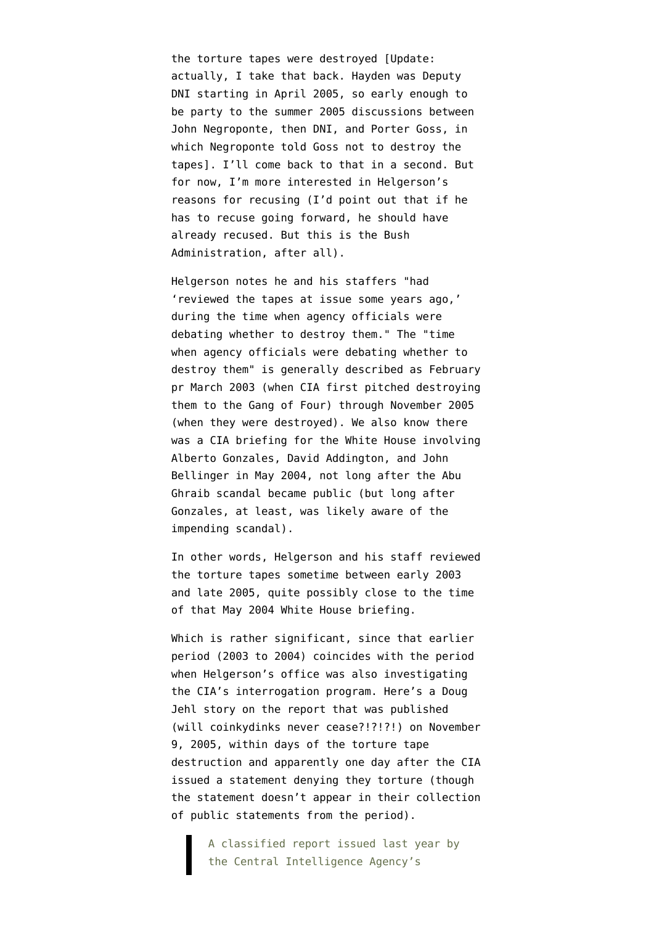the torture tapes were destroyed [Update: actually, I take that back. Hayden was Deputy DNI [starting in April 2005,](http://www.af.mil/bios/bio.asp?bioID=5746) so early enough to be party to the summer 2005 discussions between John Negroponte, then DNI, and Porter Goss, in which [Negroponte told Goss not to destroy the](http://emptywheel.firedoglake.com/2007/12/16/isikoff-to-congress-make-sure-you-ask-for-the-negroponte-memo/) [tapes](http://emptywheel.firedoglake.com/2007/12/16/isikoff-to-congress-make-sure-you-ask-for-the-negroponte-memo/)]. I'll come back to that in a second. But for now, I'm more interested in Helgerson's reasons for recusing (I'd point out that if he has to recuse going forward, he should have already recused. But this is the Bush Administration, after all).

Helgerson notes he and his staffers "had 'reviewed the tapes at issue some years ago,' during the time when agency officials were debating whether to destroy them." The "time when agency officials were debating whether to destroy them" is [generally described](http://emptywheel.firedoglake.com/timeline-collection/torture-tape-timeline/) as February pr March 2003 (when CIA first [pitched](http://www.warandpiece.com/blogdirs/006826.html#more) destroying them to the Gang of Four) through November 2005 (when they were destroyed). We also know there was [a CIA briefing](http://www.nytimes.com/2007/12/30/washington/30intel.html?pagewanted=1&_r=1) for the White House involving Alberto Gonzales, David Addington, and John Bellinger in May 2004, not long after the Abu Ghraib scandal became public (but long after Gonzales, at least, was likely aware of the impending scandal).

In other words, Helgerson and his staff reviewed the torture tapes sometime between early 2003 and late 2005, quite possibly close to the time of that May 2004 White House briefing.

Which is rather significant, since that earlier period (2003 to 2004) coincides with the period when Helgerson's office was also investigating the CIA's interrogation program. Here's a [Doug](http://www.nytimes.com/2005/11/09/politics/09detain.html?pagewanted=1) [Jehl story](http://www.nytimes.com/2005/11/09/politics/09detain.html?pagewanted=1) on the report that was published (will coinkydinks never cease?!?!?!) on November 9, 2005, within days of the torture tape destruction and apparently one day after the CIA issued a statement denying they torture (though the statement doesn't appear in their [collection](https://www.cia.gov/news-information/press-releases-statements/press-release-archive-2005/index.html) [of public statements](https://www.cia.gov/news-information/press-releases-statements/press-release-archive-2005/index.html) from the period).

A classified report issued last year by the Central Intelligence Agency's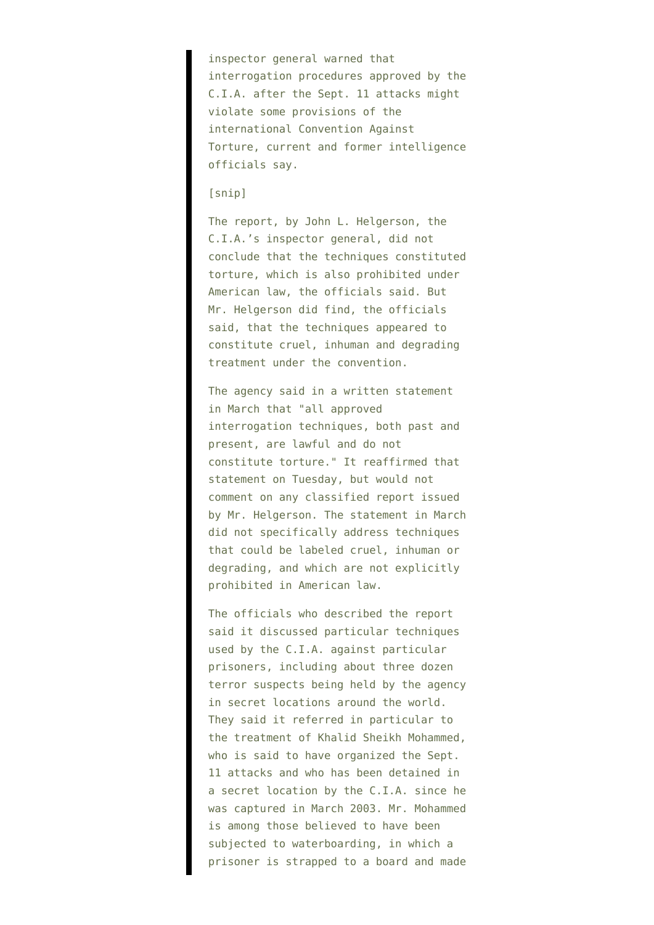inspector general warned that interrogation procedures approved by the C.I.A. after the Sept. 11 attacks might violate some provisions of the international Convention Against Torture, current and former intelligence officials say.

## [snip]

The report, by John L. Helgerson, the C.I.A.'s inspector general, did not conclude that the techniques constituted torture, which is also prohibited under American law, the officials said. But Mr. Helgerson did find, the officials said, that the techniques appeared to constitute cruel, inhuman and degrading treatment under the convention.

The agency said in a written statement in March that "all approved interrogation techniques, both past and present, are lawful and do not constitute torture." It reaffirmed that statement on Tuesday, but would not comment on any classified report issued by Mr. Helgerson. The statement in March did not specifically address techniques that could be labeled cruel, inhuman or degrading, and which are not explicitly prohibited in American law.

The officials who described the report said it discussed particular techniques used by the C.I.A. against particular prisoners, including about three dozen terror suspects being held by the agency in secret locations around the world. They said it referred in particular to the treatment of Khalid Sheikh Mohammed, who is said to have organized the Sept. 11 attacks and who has been detained in a secret location by the C.I.A. since he was captured in March 2003. Mr. Mohammed is among those believed to have been subjected to waterboarding, in which a prisoner is strapped to a board and made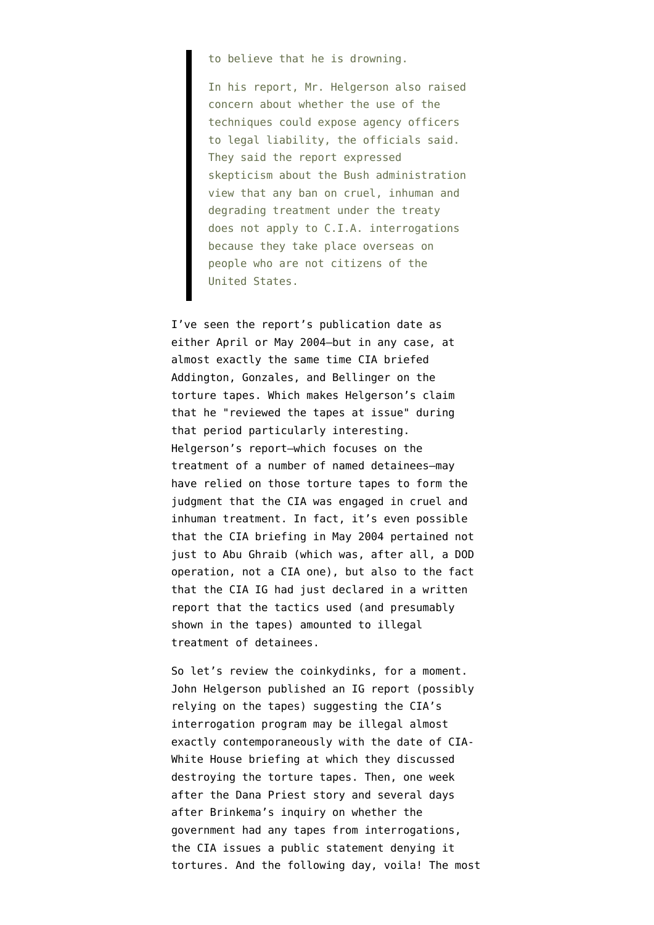to believe that he is drowning.

In his report, Mr. Helgerson also raised concern about whether the use of the techniques could expose agency officers to legal liability, the officials said. They said the report expressed skepticism about the Bush administration view that any ban on cruel, inhuman and degrading treatment under the treaty does not apply to C.I.A. interrogations because they take place overseas on people who are not citizens of the United States.

I've seen the report's publication date as either April or [May](http://www.warandpiece.com/blogdirs/006826.html#more) 2004–but in any case, at almost exactly the same time CIA briefed Addington, Gonzales, and Bellinger on the torture tapes. Which makes Helgerson's claim that he "reviewed the tapes at issue" during that period particularly interesting. Helgerson's report–which focuses on the treatment of a number of named detainees–may have relied on those torture tapes to form the judgment that the CIA was engaged in cruel and inhuman treatment. In fact, it's even possible that the CIA briefing in May 2004 pertained not just to Abu Ghraib (which was, after all, a DOD operation, not a CIA one), but also to the fact that the CIA IG had just declared in a written report that the tactics used (and presumably shown in the tapes) amounted to illegal treatment of detainees.

So let's review the coinkydinks, for a moment. John Helgerson published an IG report (possibly relying on the tapes) suggesting the CIA's interrogation program may be illegal almost exactly contemporaneously with the date of CIA-White House briefing at which they discussed destroying the torture tapes. Then, one week after the Dana Priest story and several days after Brinkema's inquiry on whether the government had any tapes from interrogations, the CIA issues a public statement denying it tortures. And the following day, voila! The most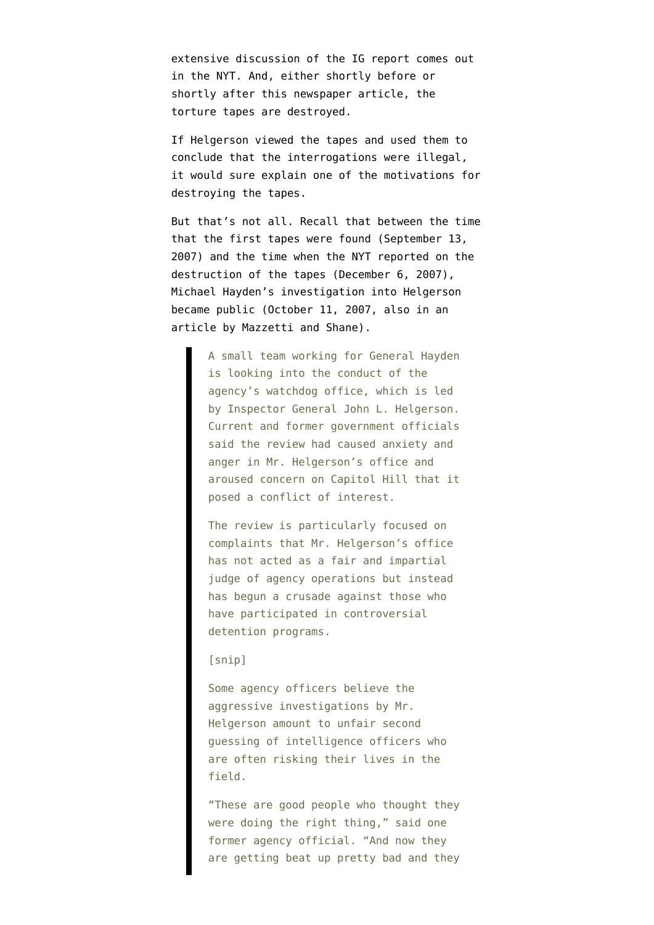extensive discussion of the IG report comes out in the NYT. And, either shortly before or shortly after this newspaper article, the torture tapes are destroyed.

If Helgerson viewed the tapes and used them to conclude that the interrogations were illegal, it would sure explain one of the motivations for destroying the tapes.

But that's not all. Recall that between the time that the first tapes were found ([September 13](http://graphics8.nytimes.com/packages/pdf/world/20071207_intel_letter.pdf), 2007) and the time when the NYT reported on the destruction of the tapes ([December 6](http://www.nytimes.com/2007/12/06/washington/06cnd-intel.html?hp), 2007), Michael Hayden's investigation into Helgerson became public ([October 11,](http://www.nytimes.com/2007/10/11/washington/12intel.html) 2007, also in an article by Mazzetti and Shane).

> A small team working for General Hayden is looking into the conduct of the agency's watchdog office, which is led by Inspector General John L. Helgerson. Current and former government officials said the review had caused anxiety and anger in Mr. Helgerson's office and aroused concern on Capitol Hill that it posed a conflict of interest.

The review is particularly focused on complaints that Mr. Helgerson's office has not acted as a fair and impartial judge of agency operations but instead has begun a crusade against those who have participated in controversial detention programs.

## [snip]

Some agency officers believe the aggressive investigations by Mr. Helgerson amount to unfair second guessing of intelligence officers who are often risking their lives in the field.

"These are good people who thought they were doing the right thing," said one former agency official. "And now they are getting beat up pretty bad and they